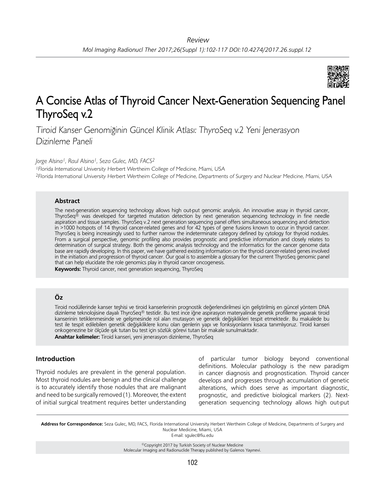

# A Concise Atlas of Thyroid Cancer Next-Generation Sequencing Panel ThyroSeq v.2

Tiroid Kanser Genomiğinin Güncel Klinik Atlası: ThyroSeq v.2 Yeni Jenerasyon Dizinleme Paneli

*Jorge Alsina1, Raul Alsina1, Seza Gulec, MD, FACS2*

<sup>1</sup>Florida International University Herbert Wertheim College of Medicine, Miami, USA <sup>2</sup>Florida International University Herbert Wertheim College of Medicine, Departments of Surgery and Nuclear Medicine, Miami, USA

#### **Abstract**

The next-generation sequencing technology allows high out-put genomic analysis. An innovative assay in thyroid cancer, ThyroSeq® was developed for targeted mutation detection by next generation sequencing technology in fine needle aspiration and tissue samples. ThyroSeq v.2 next generation sequencing panel offers simultaneous sequencing and detection in >1000 hotspots of 14 thyroid cancer-related genes and for 42 types of gene fusions known to occur in thyroid cancer. ThyroSeq is being increasingly used to further narrow the indeterminate category defined by cytology for thyroid nodules. From a surgical perspective, genomic profiling also provides prognostic and predictive information and closely relates to determination of surgical strategy. Both the genomic analysis technology and the informatics for the cancer genome data base are rapidly developing. In this paper, we have gathered existing information on the thyroid cancer-related genes involved in the initiation and progression of thyroid cancer. Our goal is to assemble a glossary for the current ThyroSeq genomic panel that can help elucidate the role genomics play in thyroid cancer oncogenesis.

**Keywords:** Thyroid cancer, next generation sequencing, ThyroSeq

# **Öz**

Tiroid nodüllerinde kanser teşhisi ve tiroid kanserlerinin prognostik değerlendirilmesi için geliştirilmiş en güncel yöntem DNA dizinleme teknolojisine dayalı ThyroSeq® testidir. Bu test ince iğne aspirasyon materyalinde genetik profilleme yaparak tiroid kanserinin tetiklenmesinde ve gelişmesinde rol alan mutasyon ve genetik değişiklikleri tespit etmektedir. Bu makalede bu test ile tespit edilebilen genetik değişikliklere konu olan genlerin yapı ve fonksiyonlarını kısaca tanımlıyoruz. Tiroid kanseri onkogenezine bir ölçüde ışık tutan bu test için sözlük görevi tutan bir makale sunulmaktadır.

**Anahtar kelimeler:** Tiroid kanseri, yeni jenerasyon dizinleme, ThyroSeq

# **Introduction**

Thyroid nodules are prevalent in the general population. Most thyroid nodules are benign and the clinical challenge is to accurately identify those nodules that are malignant and need to be surgically removed (1). Moreover, the extent of initial surgical treatment requires better understanding of particular tumor biology beyond conventional definitions. Molecular pathology is the new paradigm in cancer diagnosis and prognostication. Thyroid cancer develops and progresses through accumulation of genetic alterations, which does serve as important diagnostic, prognostic, and predictive biological markers (2). Nextgeneration sequencing technology allows high out-put

**Address for Correspondence:** Seza Gulec, MD, FACS, Florida International University Herbert Wertheim College of Medicine, Departments of Surgery and Nuclear Medicine, Miami, USA

E-mail: sgulec@fiu.edu

©Copyright 2017 by Turkish Society of Nuclear Medicine Molecular Imaging and Radionuclide Therapy published by Galenos Yayınevi.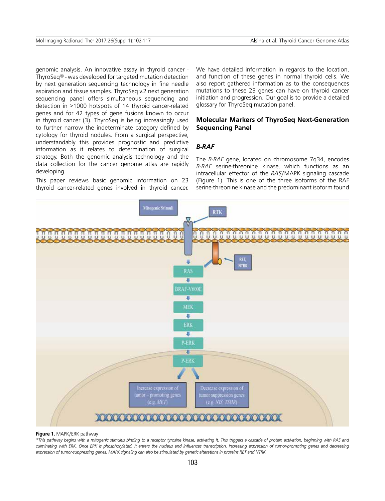genomic analysis. An innovative assay in thyroid cancer - ThyroSeq® - was developed for targeted mutation detection by next generation sequencing technology in fine needle aspiration and tissue samples. ThyroSeq v.2 next generation sequencing panel offers simultaneous sequencing and detection in >1000 hotspots of 14 thyroid cancer-related genes and for 42 types of gene fusions known to occur in thyroid cancer (3). ThyroSeq is being increasingly used to further narrow the indeterminate category defined by cytology for thyroid nodules. From a surgical perspective, understandably this provides prognostic and predictive information as it relates to determination of surgical strategy. Both the genomic analysis technology and the data collection for the cancer genome atlas are rapidly developing.

This paper reviews basic genomic information on 23 thyroid cancer-related genes involved in thyroid cancer. We have detailed information in regards to the location, and function of these genes in normal thyroid cells. We also report gathered information as to the consequences mutations to these 23 genes can have on thyroid cancer initiation and progression. Our goal is to provide a detailed glossary for ThyroSeq mutation panel.

# **Molecular Markers of ThyroSeq Next-Generation Sequencing Panel**

# *B-RAF*

The *B-RAF* gene, located on chromosome 7q34, encodes *B-RAF* serine-threonine kinase, which functions as an intracellular effector of the *RAS*/MAPK signaling cascade (Figure 1). This is one of the three isoforms of the RAF serine-threonine kinase and the predominant isoform found



#### **Figure 1.** MAPK/ERK pathway

*\*This pathway begins with a mitogenic stimulus binding to a receptor tyrosine kinase, activating it. This triggers a cascade of protein activation, beginning with RAS and culminating with ERK. Once ERK is phosphorylated, it enters the nucleus and influences transcription, increasing expression of tumor-promoting genes and decreasing expression of tumor-suppressing genes. MAPK signaling can also be stimulated by genetic alterations in proteins RET and NTRK*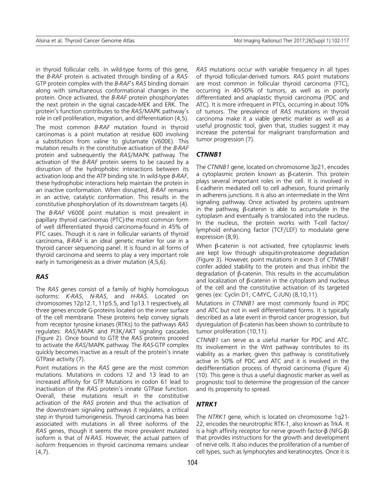in thyroid follicular cells. In wild-type forms of this gene, the *B-RAF* protein is activated through binding of a *RAS*-GTP protein complex with the *B-RAF*'s *RAS* binding domain along with simultaneous conformational changes in the protein. Once activated, the *B-RAF* protein phosphorylates the next protein in the signal cascade-MEK and ERK. The protein's function contributes to the *RAS*/MAPK pathway's role in cell proliferation, migration, and differentiation (4,5). The most common *B-RAF* mutation found in thyroid carcinomas is a point mutation at residue 600 involving a substitution from valine to glutamate (V600E). This mutation results in the constitutive activation of the *B-RAF* protein and subsequently the *RAS*/MAPK pathway. The activation of the *B-RAF* protein seems to be caused by a disruption of the hydrophobic interactions between its activation loop and the ATP binding site. In wild-type *B-RAF*, these hydrophobic interactions help maintain the protein in an inactive conformation. When disrupted, *B-RAF* remains in an active, catalytic conformation. This results in the constitutive phosphorylation of its downstream targets (4). The *B-RAF* V600E point mutation is most prevalent in papillary thyroid carcinomas (PTC)-the most common form of well differentiated thyroid carcinoma-found in 45% of PTC cases. Though it is rare in follicular variants of thyroid carcinoma, *B-RAF* is an ideal genetic marker for use in a thyroid cancer sequencing panel. It is found in all forms of thyroid carcinoma and seems to play a very important role early in tumorigenesis as a driver mutation (4,5,6).

#### *RAS*

The *RAS* genes consist of a family of highly homologous isoforms: *K-RAS*, *N-RAS*, and *H-RAS*. Located on chromosomes 12p12.1, 11p5.5, and 1p13.1 respectively, all three genes encode G-proteins located on the inner surface of the cell membrane. These proteins help convey signals from receptor tyrosine kinases (RTKs) to the pathways *RAS* regulates: *RAS*/MAPK and PI3K/AKT signaling cascades (Figure 2). Once bound to GTP, the *RAS* proteins proceed to activate the *RAS*/MAPK pathway. The *RAS*-GTP complex quickly becomes inactive as a result of the protein's innate GTPase activity (7).

Point mutations in the *RAS* gene are the most common mutations. Mutations in codons 12 and 13 lead to an increased affinity for GTP. Mutations in codon 61 lead to inactivation of the *RAS* protein's innate GTPase function. Overall, these mutations result in the constitutive activation of the *RAS* protein and thus the activation of the downstream signaling pathways it regulates, a critical step in thyroid tumorigenesis. Thyroid carcinoma has been associated with mutations in all three isoforms of the *RAS* genes, though it seems the more prevalent mutated isoform is that of *N-RAS*. However, the actual pattern of isoform frequencies in thyroid carcinoma remains unclear  $(4,7)$ .

*RAS* mutations occur with variable frequency in all types of thyroid follicular-derived tumors. *RAS* point mutations are most common in follicular thyroid carcinoma (FTC), occurring in 40-50% of tumors, as well as in poorly differentiated and anaplastic thyroid carcinoma (PDC and ATC). It is more infrequent in PTCs, occurring in about 10% of tumors. The prevalence of *RAS* mutations in thyroid carcinoma make it a viable genetic marker as well as a useful prognostic tool, given that, studies suggest it may increase the potential for malignant transformation and tumor progression (7).

# *CTNNB1*

The *CTNNB1* gene, located on chromosome 3p21, encodes a cytoplasmic protein known as β-catenin. This protein plays several important roles in the cell. It is involved in E-cadherin mediated cell to cell adhesion, found primarily in adherens junctions. It is also an intermediate in the Wnt signaling pathway. Once activated by proteins upstream in the pathway, β-catenin is able to accumulate in the cytoplasm and eventually is translocated into the nucleus. In the nucleus, the protein works with T-cell factor/ lymphoid enhancing factor (TCF/LEF) to modulate gene expression (8,9).

When β-catenin is not activated, free cytoplasmic levels are kept low through ubiquitin-proteasome degradation (Figure 3). However, point mutations in exon 3 of *CTNNB1* confer added stability to the protein and thus inhibit the degradation of β-catenin. This results in the accumulation and localization of β-catenin in the cytoplasm and nucleus of the cell and the constitutive activation of its targeted genes (ex: Cyclin D1, C-MYC, C-JUN) (8,10,11).

Mutations in *CTNNB1* are most commonly found in PDC and ATC but not in well differentiated forms. It is typically described as a late event in thyroid cancer progression, but dysregulation of β-catenin has been shown to contribute to tumor proliferation (10,11).

*CTNNB1* can serve as a useful marker for PDC and ATC. Its involvement in the Wnt pathway contributes to its viability as a marker, given this pathway is constitutively active in 50% of PDC and ATC and it is involved in the dedifferentiation process of thyroid carcinoma (Figure 4) (10). This gene is thus a useful diagnostic marker as well as prognostic tool to determine the progression of the cancer and its propensity to spread.

# *NTRK1*

The *NTRK1* gene, which is located on chromosome 1q21- 22, encodes the neurotrophic RTK-1, also known as TrkA. It is a high affinity receptor for nerve growth factor-β (NFG-β) that provides instructions for the growth and development of nerve cells. It also induces the proliferation of a number of cell types, such as lymphocytes and keratinocytes. Once it is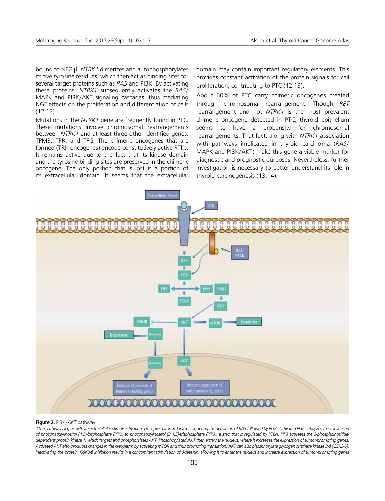bound to NFG-β, *NTRK1* dimerizes and autophosphorylates its five tyrosine residues, which then act as binding sites for several target proteins such as *RAS* and PI3K. By activating these proteins, *NTRK1* subsequently activates the *RAS*/ MAPK and PI3K/AKT signaling cascades, thus mediating NGF effects on the proliferation and differentiation of cells (12,13).

Mutations in the *NTRK1* gene are frequently found in PTC. These mutations involve chromosomal rearrangements between *NTRK1* and at least three other identified genes: TPM3, TPR, and TFG. The chimeric oncogenes that are formed (TRK oncogenes) encode constitutively active RTKs. It remains active due to the fact that its kinase domain and the tyrosine binding sites are preserved in the chimeric oncogene. The only portion that is lost is a portion of its extracellular domain. It seems that the extracellular domain may contain important regulatory elements. This provides constant activation of the protein signals for cell proliferation, contributing to PTC (12,13).

About 60% of PTC carry chimeric oncogenes created through chromosomal rearrangement. Though *RET* rearrangement and not *NTRK1* is the most prevalent chimeric oncogene detected in PTC, thyroid epithelium seems to have a propensity for chromosomal rearrangements. That fact, along with *NTRK1* association with pathways implicated in thyroid carcinoma (*RAS*/ MAPK and PI3K/AKT) make this gene a viable marker for diagnostic and prognostic purposes. Nevertheless, further investigation is necessary to better understand its role in thyroid carcinogenesis (13,14).



#### **Figure 2.** PI3K/*AKT* pathway

*\*The pathway begins with an extracellular stimuli activating a receptor tyrosine kinase, triggering the activation of RAS followed by PI3K. Activated PI3K catalyzes the conversion of phosphatidylinositol (4,5)-bisphosphate (PIP2) to phosphatidylinositol (3,4,5)-trisphosphate (PIP3), a step that is regulated by PTEN. PIP3 activates the 3-phosphoinositidedependent protein kinase 1, which targets and phosphorylates AKT. Phosphorylated AKT then enters the nucleus, where it increases the expression of tumor-promoting genes. Activated AKT also produces changes in the cytoplasm by activating mTOR and thus promoting translation. AKT can also phosphorylate glycogen synthase kinase 3-β (GSK3-β), inactivating the protein. GSK3-8 inhibition results in a concomitant stimulation of β-catenin, allowing it to enter the nucleus and increase expression of tumor-promoting genes*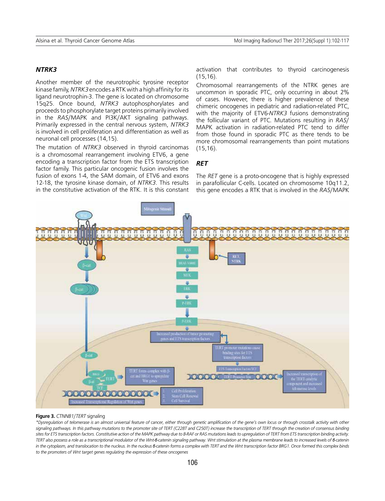## *NTRK3*

Another member of the neurotrophic tyrosine receptor kinase family, *NTRK3* encodes a RTK with a high affinity for its ligand neurotrophin-3. The gene is located on chromosome 15q25. Once bound, *NTRK3* autophosphorylates and proceeds to phosphorylate target proteins primarily involved in the *RAS*/MAPK and PI3K/AKT signaling pathways. Primarily expressed in the central nervous system, *NTRK3* is involved in cell proliferation and differentiation as well as neuronal cell processes (14,15).

The mutation of *NTRK3* observed in thyroid carcinomas is a chromosomal rearrangement involving ETV6, a gene encoding a transcription factor from the ETS transcription factor family. This particular oncogenic fusion involves the fusion of exons 1-4, the SAM domain, of ETV6 and exons 12-18, the tyrosine kinase domain, of *NTRK3*. This results in the constitutive activation of the RTK. It is this constant activation that contributes to thyroid carcinogenesis (15,16).

Chromosomal rearrangements of the NTRK genes are uncommon in sporadic PTC, only occurring in about 2% of cases. However, there is higher prevalence of these chimeric oncogenes in pediatric and radiation-related PTC, with the majority of ETV6-*NTRK3* fusions demonstrating the follicular variant of PTC. Mutations resulting in *RAS*/ MAPK activation in radiation-related PTC tend to differ from those found in sporadic PTC as there tends to be more chromosomal rearrangements than point mutations (15,16).

# *RET*

The *RET* gene is a proto-oncogene that is highly expressed in parafollicular C-cells. Located on chromosome 10q11.2, this gene encodes a RTK that is involved in the *RAS*/MAPK



#### **Figure 3.** *CTNNB1*/*TERT* signaling

*\*Dysregulation of telomerase is an almost universal feature of cancer, either through genetic amplification of the gene's own locus or through crosstalk activity with other signaling pathways. In this pathway mutations to the promoter site of TERT (C228T and C250T) increase the transcription of TERT through the creation of consensus binding sites for ETS transcription factors. Constitutive action of the MAPK pathway due to B-RAF or RAS mutations leads to upregulation of TERT from ETS transcription binding activity. TERT also possess a role as a transcriptional modulator of the Wnt-β-catenin signaling pathway. Wnt stimulation at the plasma membrane leads to increased levels of β-catenin*  in the cytoplasm, and translocation to the nucleus. In the nucleus *β*-catenin forms a complex with TERT and the Wnt transcription factor BRG1. Once formed this complex binds *to the promoters of Wnt target genes regulating the expression of these oncogenes*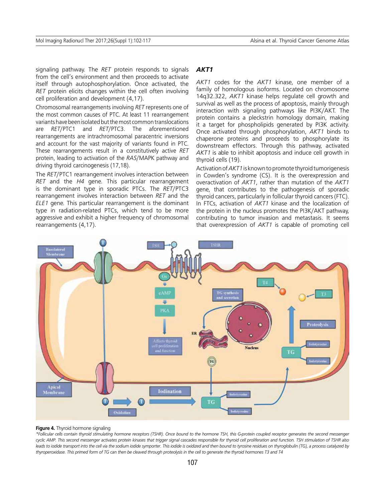signaling pathway. The *RET* protein responds to signals from the cell's environment and then proceeds to activate itself through autophosphorylation. Once activated, the *RET* protein elicits changes within the cell often involving cell proliferation and development (4,17).

Chromosomal rearrangements involving *RET* represents one of the most common causes of PTC. At least 11 rearrangement variants have been isolated but the most common translocations are *RET*/PTC1 and *RET*/PTC3. The aforementioned rearrangements are intrachromosomal paracentric inversions and account for the vast majority of variants found in PTC. These rearrangements result in a constitutively active *RET* protein, leading to activation of the *RAS*/MAPK pathway and driving thyroid carcinogenesis (17,18).

The *RET*/PTC1 rearrangement involves interaction between *RET* and the *H4* gene. This particular rearrangement is the dominant type in sporadic PTCs. The *RET*/PTC3 rearrangement involves interaction between *RET* and the *ELE1* gene. This particular rearrangement is the dominant type in radiation-related PTCs, which tend to be more aggressive and exhibit a higher frequency of chromosomal rearrangements (4,17).

#### *AKT1*

*AKT1* codes for the *AKT1* kinase, one member of a family of homologous isoforms. Located on chromosome 14q32.322, *AKT1* kinase helps regulate cell growth and survival as well as the process of apoptosis, mainly through interaction with signaling pathways like PI3K/AKT. The protein contains a pleckstrin homology domain, making it a target for phospholipids generated by PI3K activity. Once activated through phosphorylation, *AKT1* binds to chaperone proteins and proceeds to phosphorylate its downstream effectors. Through this pathway, activated *AKT1* is able to inhibit apoptosis and induce cell growth in thyroid cells (19).

Activation of *AKT1* is known to promote thyroid tumorigenesis in Cowden's syndrome (CS). It is the overexpression and overactivation of *AKT1*, rather than mutation of the *AKT1* gene, that contributes to the pathogenesis of sporadic thyroid cancers, particularly in follicular thyroid cancers (FTC). In FTCs, activation of *AKT1* kinase and the localization of the protein in the nucleus promotes the PI3K/AKT pathway, contributing to tumor invasion and metastasis. It seems that overexpression of *AKT1* is capable of promoting cell



#### **Figure 4.** Thyroid hormone signaling

*\*Follicular cells contain thyroid stimulating hormone receptors (TSHR). Once bound to the hormone TSH, this G-protein coupled receptor generates the second messenger cyclic AMP. This second messenger activates protein kinases that trigger signal cascades responsible for thyroid cell proliferation and function. TSH stimulation of TSHR also*  leads to iodide transport into the cell via the sodium iodide symporter. This iodide is oxidized and then bound to tyrosine residues on thyroglobulin (TG), a process catalyzed by *thyroperoxidase. This primed form of TG can then be cleaved through proteolysis in the cell to generate the thyroid hormones T3 and T4*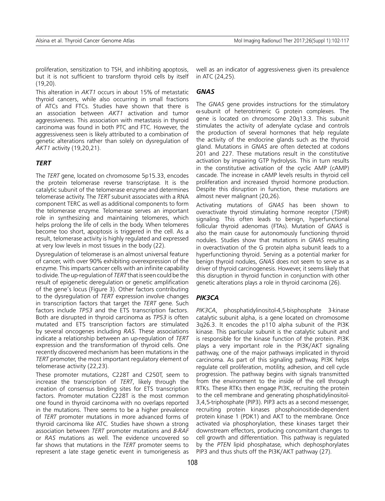proliferation, sensitization to TSH, and inhibiting apoptosis, but it is not sufficient to transform thyroid cells by itself (19,20).

This alteration in *AKT1* occurs in about 15% of metastatic thyroid cancers, while also occurring in small fractions of ATCs and FTCs. Studies have shown that there is an association between *AKT1* activation and tumor aggressiveness. This association with metastasis in thyroid carcinoma was found in both PTC and FTC. However, the aggressiveness seen is likely attributed to a combination of genetic alterations rather than solely on dysregulation of *AKT1* activity (19,20,21).

## *TERT*

The *TERT* gene, located on chromosome 5p15.33, encodes the protein telomerase reverse transcriptase. It is the catalytic subunit of the telomerase enzyme and determines telomerase activity. The *TERT* subunit associates with a RNA component TERC as well as additional components to form the telomerase enzyme. Telomerase serves an important role in synthesizing and maintaining telomeres, which helps prolong the life of cells in the body. When telomeres become too short, apoptosis is triggered in the cell. As a result, telomerase activity is highly regulated and expressed at very low levels in most tissues in the body (22).

Dysregulation of telomerase is an almost universal feature of cancer, with over 90% exhibiting overexpression of the enzyme. This imparts cancer cells with an infinite capability to divide. The up-regulation of *TERT* that is seen could be the result of epigenetic deregulation or genetic amplification of the gene's locus (Figure 3). Other factors contributing to the dysregulation of *TERT* expression involve changes in transcription factors that target the *TERT* gene. Such factors include *TP53* and the ETS transcription factors. Both are disrupted in thyroid carcinoma as *TP53* is often mutated and ETS transcription factors are stimulated by several oncogenes including *RAS*. These associations indicate a relationship between an up-regulation of *TERT* expression and the transformation of thyroid cells. One recently discovered mechanism has been mutations in the *TERT* promoter, the most important regulatory element of telomerase activity (22,23).

These promoter mutations, C228T and C250T, seem to increase the transcription of *TERT*, likely through the creation of consensus binding sites for ETS transcription factors. Promoter mutation C228T is the most common one found in thyroid carcinoma with no overlaps reported in the mutations. There seems to be a higher prevalence of *TERT* promoter mutations in more advanced forms of thyroid carcinoma like ATC. Studies have shown a strong association between *TERT* promoter mutations and *B-RAF* or *RAS* mutations as well. The evidence uncovered so far shows that mutations in the *TERT* promoter seems to represent a late stage genetic event in tumorigenesis as well as an indicator of aggressiveness given its prevalence in ATC (24,25).

# *GNAS*

The *GNAS* gene provides instructions for the stimulatory α-subunit of heterotrimeric G protein complexes. The gene is located on chromosome 20q13.3. This subunit stimulates the activity of adenylate cyclase and controls the production of several hormones that help regulate the activity of the endocrine glands such as the thyroid gland. Mutations in *GNAS* are often detected at codons 201 and 227. These mutations result in the constitutive activation by impairing GTP hydrolysis. This in turn results in the constitutive activation of the cyclic AMP (cAMP) cascade. The increase in cAMP levels results in thyroid cell proliferation and increased thyroid hormone production. Despite this disruption in function, these mutations are almost never malignant (20,26).

Activating mutations of *GNAS* has been shown to overactivate thyroid stimulating hormone receptor (*TSHR*) signaling. This often leads to benign, hyperfunctional follicular thyroid adenomas (FTAs). Mutation of *GNAS* is also the main cause for autonomously functioning thyroid nodules. Studies show that mutations in *GNAS* resulting in overactivation of the G protein alpha subunit leads to a hyperfunctioning thyroid. Serving as a potential marker for benign thyroid nodules, *GNAS* does not seem to serve as a driver of thyroid carcinogenesis. However, it seems likely that this disruption in thyroid function in conjunction with other genetic alterations plays a role in thyroid carcinoma (26).

## *PIK3CA*

*PIK3CA*, phosphatidylinositol-4,5-bisphosphate 3-kinase catalytic subunit alpha, is a gene located on chromosome 3q26.3. It encodes the p110 alpha subunit of the PI3K kinase. This particular subunit is the catalytic subunit and is responsible for the kinase function of the protein. PI3K plays a very important role in the PI3K/AKT signaling pathway, one of the major pathways implicated in thyroid carcinoma. As part of this signaling pathway, PI3K helps regulate cell proliferation, motility, adhesion, and cell cycle progression. The pathway begins with signals transmitted from the environment to the inside of the cell through RTKs. These RTKs then engage PI3K, recruiting the protein to the cell membrane and generating phosphatidylinositol-3,4,5-triphosphate (PIP3). PIP3 acts as a second messenger, recruiting protein kinases phosphoinositide-dependent protein kinase 1 (PDK1) and AKT to the membrane. Once activated via phosphorylation, these kinases target their downstream effectors, producing concomitant changes to cell growth and differentiation. This pathway is regulated by the *PTEN* lipid phosphatase, which dephosphorylates PIP3 and thus shuts off the PI3K/AKT pathway (27).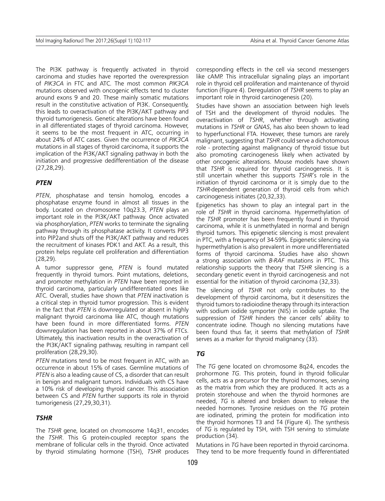The PI3K pathway is frequently activated in thyroid carcinoma and studies have reported the overexpression of *PIK3CA* in FTC and ATC. The most common *PIK3CA* mutations observed with oncogenic effects tend to cluster around exons 9 and 20. These mainly somatic mutations result in the constitutive activation of PI3K. Consequently, this leads to overactivation of the PI3K/AKT pathway and thyroid tumorigenesis. Genetic alterations have been found in all differentiated stages of thyroid carcinoma. However, it seems to be the most frequent in ATC, occurring in about 24% of ATC cases. Given the occurrence of *PIK3CA* mutations in all stages of thyroid carcinoma, it supports the implication of the PI3K/AKT signaling pathway in both the initiation and progressive dedifferentiation of the disease (27,28,29).

#### *PTEN*

*PTEN*, phosphatase and tensin homolog, encodes a phosphatase enzyme found in almost all tissues in the body. Located on chromosome 10q23.3, *PTEN* plays an important role in the PI3K/AKT pathway. Once activated via phosphorylation, *PTEN* works to terminate the signaling pathway through its phosphatase activity. It converts PIP3 into PIP2and shuts off the PI3K/AKT pathway and reduces the recruitment of kinases PDK1 and AKT. As a result, this protein helps regulate cell proliferation and differentiation (28,29).

A tumor suppressor gene, *PTEN* is found mutated frequently in thyroid tumors. Point mutations, deletions, and promoter methylation in *PTEN* have been reported in thyroid carcinoma, particularly undifferentiated ones like ATC. Overall, studies have shown that *PTEN* inactivation is a critical step in thyroid tumor progression. This is evident in the fact that *PTEN* is downregulated or absent in highly malignant thyroid carcinoma like ATC, though mutations have been found in more differentiated forms. *PTEN* downregulation has been reported in about 37% of FTCs. Ultimately, this inactivation results in the overactivation of the PI3K/AKT signaling pathway, resulting in rampant cell proliferation (28,29,30).

*PTEN* mutations tend to be most frequent in ATC, with an occurrence in about 15% of cases. Germline mutations of *PTEN* is also a leading cause of CS, a disorder that can result in benign and malignant tumors. Individuals with CS have a 10% risk of developing thyroid cancer. This association between CS and *PTEN* further supports its role in thyroid tumorigenesis (27,29,30,31).

# *TSHR*

The *TSHR* gene, located on chromosome 14q31, encodes the *TSHR*. This G protein-coupled receptor spans the membrane of follicular cells in the thyroid. Once activated by thyroid stimulating hormone (TSH), *TSHR* produces corresponding effects in the cell via second messengers like cAMP. This intracellular signaling plays an important role in thyroid cell proliferation and maintenance of thyroid function (Figure 4). Deregulation of *TSHR* seems to play an important role in thyroid carcinogenesis (20).

Studies have shown an association between high levels of TSH and the development of thyroid nodules. The overactivation of *TSHR*, whether through activating mutations in *TSHR* or *GNAS*, has also been shown to lead to hyperfunctional FTA. However, these tumors are rarely malignant, suggesting that *TSHR* could serve a dichotomous role - protecting against malignancy of thyroid tissue but also promoting carcinogenesis likely when activated by other oncogenic alterations. Mouse models have shown that *TSHR* is required for thyroid carcinogenesis. It is still uncertain whether this supports *TSHR*'s role in the initiation of thyroid carcinoma or it is simply due to the *TSHR*-dependent generation of thyroid cells from which carcinogenesis initiates (20,32,33).

Epigenetics has shown to play an integral part in the role of *TSHR* in thyroid carcinoma. Hypermethylation of the *TSHR* promoter has been frequently found in thyroid carcinoma, while it is unmethylated in normal and benign thyroid tumors. This epigenetic silencing is most prevalent in PTC, with a frequency of 34-59%. Epigenetic silencing via hypermethylation is also prevalent in more undifferentiated forms of thyroid carcinoma. Studies have also shown a strong association with *B-RAF* mutations in PTC. This relationship supports the theory that *TSHR* silencing is a secondary genetic event in thyroid carcinogenesis and not essential for the initiation of thyroid carcinoma (32,33).

The silencing of *TSHR* not only contributes to the development of thyroid carcinoma, but it desensitizes the thyroid tumors to radioiodine therapy through its interaction with sodium iodide symporter (NIS) in iodide uptake. The suppression of *TSHR* hinders the cancer cells' ability to concentrate iodine. Though no silencing mutations have been found thus far, it seems that methylation of *TSHR* serves as a marker for thyroid malignancy (33).

#### *TG*

The *TG* gene located on chromosome 8q24, encodes the prohormone *TG*. This protein, found in thyroid follicular cells, acts as a precursor for the thyroid hormones, serving as the matrix from which they are produced. It acts as a protein storehouse and when the thyroid hormones are needed, *TG* is altered and broken down to release the needed hormones. Tyrosine residues on the *TG* protein are iodinated, priming the protein for modification into the thyroid hormones T3 and T4 (Figure 4). The synthesis of *TG* is regulated by TSH, with TSH serving to stimulate production (34).

Mutations in *TG* have been reported in thyroid carcinoma. They tend to be more frequently found in differentiated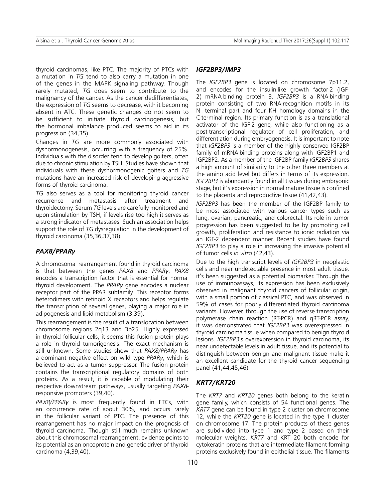thyroid carcinomas, like PTC. The majority of PTCs with a mutation in *TG* tend to also carry a mutation in one of the genes in the MAPK signaling pathway. Though rarely mutated, *TG* does seem to contribute to the malignancy of the cancer. As the cancer dedifferentiates, the expression of *TG* seems to decrease, with it becoming absent in ATC. These genetic changes do not seem to be sufficient to initiate thyroid carcinogenesis, but the hormonal imbalance produced seems to aid in its progression (34,35).

Changes in *TG* are more commonly associated with dyshormonogenesis, occurring with a frequency of 25%. Individuals with the disorder tend to develop goiters, often due to chronic stimulation by TSH. Studies have shown that individuals with these dyshormonogenic goiters and *TG* mutations have an increased risk of developing aggressive forms of thyroid carcinoma.

*TG* also serves as a tool for monitoring thyroid cancer recurrence and metastasis after treatment and thyroidectomy. Serum *TG* levels are carefully monitored and upon stimulation by TSH, if levels rise too high it serves as a strong indicator of metastases. Such an association helps support the role of *TG* dysregulation in the development of thyroid carcinoma (35,36,37,38).

## *PAX8/PPARγ*

A chromosomal rearrangement found in thyroid carcinoma is that between the genes *PAX8* and *PPARγ*, *PAX8* encodes a transcription factor that is essential for normal thyroid development. The *PPARγ* gene encodes a nuclear receptor part of the PPAR subfamily. This receptor forms heterodimers with retinoid X receptors and helps regulate the transcription of several genes, playing a major role in adipogenesis and lipid metabolism (3,39).

This rearrangement is the result of a translocation between chromosome regions 2q13 and 3p25. Highly expressed in thyroid follicular cells, it seems this fusion protein plays a role in thyroid tumorigenesis. The exact mechanism is still unknown. Some studies show that *PAX8/PPARγ* has a dominant negative effect on wild type *PPARγ*, which is believed to act as a tumor suppressor. The fusion protein contains the transcriptional regulatory domains of both proteins. As a result, it is capable of modulating their respective downstream pathways, usually targeting *PAX8* responsive promoters (39,40).

*PAX8/PPARγ* is most frequently found in FTCs, with an occurrence rate of about 30%, and occurs rarely in the follicular variant of PTC. The presence of this rearrangement has no major impact on the prognosis of thyroid carcinoma. Though still much remains unknown about this chromosomal rearrangement, evidence points to its potential as an oncoprotein and genetic driver of thyroid carcinoma (4,39,40).

#### *IGF2BP3/IMP3*

The *IGF2BP3* gene is located on chromosome 7p11.2, and encodes for the insulin-like growth factor-2 (IGF-2) mRNA-binding protein 3. *IGF2BP3* is a RNA-binding protein consisting of two RNA-recognition motifs in its N¬-terminal part and four KH homology domains in the C-terminal region. Its primary function is as a translational activator of the IGF-2 gene, while also functioning as a post-transcriptional regulator of cell proliferation, and differentiation during embryogenesis. It is important to note that *IGF2BP3* is a member of the highly conserved IGF2BP family of mRNA-binding proteins along with IGF2BP1 and IGF2BP2. As a member of the IGF2BP family *IGF2BP3* shares a high amount of similarity to the other three members at the amino acid level but differs in terms of its expression. *IGF2BP3* is abundantly found in all tissues during embryonic stage, but it's expression in normal mature tissue is confined to the placenta and reproductive tissue (41,42,43).

*IGF2BP3* has been the member of the IGF2BP family to be most associated with various cancer types such as lung, ovarian, pancreatic, and colorectal. Its role in tumor progression has been suggested to be by promoting cell growth, proliferation and resistance to ionic radiation via an IGF-2 dependent manner. Recent studies have found *IGF2BP3* to play a role in increasing the invasive potential of tumor cells *in vitro* (42,43).

Due to the high transcript levels of *IGF2BP3* in neoplastic cells and near undetectable presence in most adult tissue, it's been suggested as a potential biomarker. Through the use of immunoassays, its expression has been exclusively observed in malignant thyroid cancers of follicular origin, with a small portion of classical PTC, and was observed in 59% of cases for poorly differentiated thyroid carcinoma variants. However, through the use of reverse transcription polymerase chain reaction (RT-PCR) and qRT-PCR assay, it was demonstrated that *IGF2BP3* was overexpressed in thyroid carcinoma tissue when compared to benign thyroid lesions. *IGF2BP3*'s overexpression in thyroid carcinoma, its near undetectable levels in adult tissue, and its potential to distinguish between benign and malignant tissue make it an excellent candidate for the thyroid cancer sequencing panel (41,44,45,46).

# *KRT7/KRT20*

The *KRT7* and *KRT20* genes both belong to the keratin gene family, which consists of 54 functional genes. The *KRT7* gene can be found in type 2 cluster on chromosome 12, while the *KRT20* gene is located in the type 1 cluster on chromosome 17. The protein products of these genes are subdivided into type 1 and type 2 based on their molecular weights. *KRT7* and KRT 20 both encode for cytokeratin proteins that are intermediate filament forming proteins exclusively found in epithelial tissue. The filaments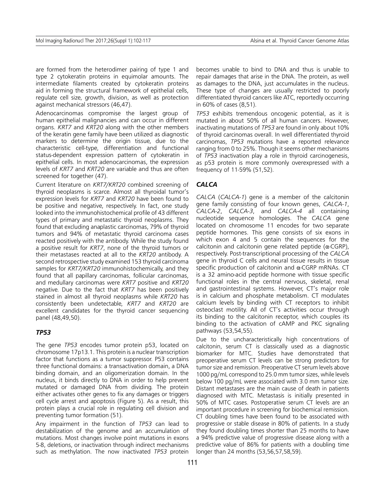are formed from the heterodimer pairing of type 1 and type 2 cytokeratin proteins in equimolar amounts. The intermediate filaments created by cytokeratin proteins aid in forming the structural framework of epithelial cells, regulate cell size, growth, division, as well as protection against mechanical stressors (46,47).

Adenocarcinomas compromise the largest group of human epithelial malignancies and can occur in different organs. *KRT7* and *KRT20* along with the other members of the keratin gene family have been utilized as diagnostic markers to determine the origin tissue, due to the characteristic cell-type, differentiation and functional status-dependent expression pattern of cytokeratin in epithelial cells. In most adenocarcinomas, the expression levels of *KRT7* and *KRT20* are variable and thus are often screened for together (47).

Current literature on *KRT7/KRT20* combined screening of thyroid neoplasms is scarce. Almost all thyroidal tumor's expression levels for *KRT7* and *KRT20* have been found to be positive and negative, respectively. In fact, one study looked into the immunohistochemical profile of 43 different types of primary and metastatic thyroid neoplasms. They found that excluding anaplastic carcinomas, 79% of thyroid tumors and 94% of metastatic thyroid carcinoma cases reacted positively with the antibody. While the study found a positive result for *KRT7*, none of the thyroid tumors or their metastases reacted at all to the *KRT20* antibody. A second retrospective study examined 153 thyroid carcinoma samples for *KRT7/KRT20* immunohistochemically, and they found that all papillary carcinomas, follicular carcinomas, and medullary carcinomas were *KRT7* positive and *KRT20* negative. Due to the fact that *KRT7* has been positively stained in almost all thyroid neoplasms while *KRT20* has consistently been undetectable, *KRT7* and *KRT20* are excellent candidates for the thyroid cancer sequencing panel (48,49,50).

# *TP53*

The gene *TP53* encodes tumor protein p53, located on chromosome 17p13.1. This protein is a nuclear transcription factor that functions as a tumor suppressor. P53 contains three functional domains: a transactivation domain, a DNA binding domain, and an oligomerization domain. In the nucleus, it binds directly to DNA in order to help prevent mutated or damaged DNA from dividing. The protein either activates other genes to fix any damages or triggers cell cycle arrest and apoptosis (Figure 5). As a result, this protein plays a crucial role in regulating cell division and preventing tumor formation (51).

Any impairment in the function of *TP53* can lead to destabilization of the genome and an accumulation of mutations. Most changes involve point mutations in exons 5-8, deletions, or inactivation through indirect mechanisms such as methylation. The now inactivated *TP53* protein becomes unable to bind to DNA and thus is unable to repair damages that arise in the DNA. The protein, as well as damages to the DNA, just accumulates in the nucleus. These type of changes are usually restricted to poorly differentiated thyroid cancers like ATC, reportedly occurring in 60% of cases (8,51).

*TP53* exhibits tremendous oncogenic potential, as it is mutated in about 50% of all human cancers. However, inactivating mutations of *TP53* are found in only about 10% of thyroid carcinomas overall. In well differentiated thyroid carcinomas, *TP53* mutations have a reported relevance ranging from 0 to 25%. Though it seems other mechanisms of *TP53* inactivation play a role in thyroid carcinogenesis, as p53 protein is more commonly overexpressed with a frequency of 11-59% (51,52).

# *CALCA*

*CALCA* (*CALCA-1*) gene is a member of the calcitonin gene family consisting of four known genes, *CALCA-1*, *CALCA-2*, *CALCA-3*, and *CALCA-4* all containing nucleotide sequence homologies. The *CALCA* gene located on chromosome 11 encodes for two separate peptide hormones. This gene consists of six exons in which exon 4 and 5 contain the sequences for the calcitonin and calcitonin gene related peptide  $(\alpha$ -CGRP), respectively. Post-transcriptional processing of the *CALCA* gene in thyroid C cells and neural tissue results in tissue specific production of calcitonin and α-CGRP mRNAs. CT is a 32 amino-acid peptide hormone with tissue specific functional roles in the central nervous, skeletal, renal and gastrointestinal systems. However, CT's major role is in calcium and phosphate metabolism. CT modulates calcium levels by binding with CT receptors to inhibit osteoclast motility. All of CT's activities occur through its binding to the calcitonin receptor, which couples its binding to the activation of cAMP and PKC signaling pathways (53,54,55).

Due to the uncharacteristically high concentrations of calcitonin, serum CT is classically used as a diagnostic biomarker for MTC. Studies have demonstrated that preoperative serum CT levels can be strong predictors for tumor size and remission. Preoperative CT serum levels above 1000 pg/mL correspond to 25.0 mm tumor sizes, while levels below 100 pg/mL were associated with 3.0 mm tumor size. Distant metastases are the main cause of death in patients diagnosed with MTC. Metastasis is initially presented in 50% of MTC cases. Postoperative serum CT levels are an important procedure in screening for biochemical remission. CT doubling times have been found to be associated with progressive or stable disease in 80% of patients. In a study they found doubling times shorter than 25 months to have a 94% predictive value of progressive disease along with a predictive value of 86% for patients with a doubling time longer than 24 months (53,56,57,58,59).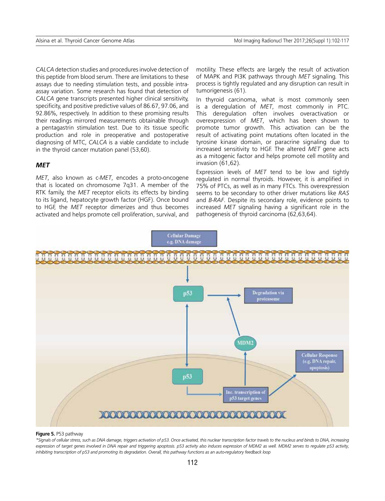*CALCA* detection studies and procedures involve detection of this peptide from blood serum. There are limitations to these assays due to needing stimulation tests, and possible intraassay variation. Some research has found that detection of *CALCA* gene transcripts presented higher clinical sensitivity, specificity, and positive predictive values of 86.67, 97.06, and 92.86%, respectively. In addition to these promising results their readings mirrored measurements obtainable through a pentagastrin stimulation test. Due to its tissue specific production and role in preoperative and postoperative diagnosing of MTC, *CALCA* is a viable candidate to include in the thyroid cancer mutation panel (53,60).

## *MET*

*MET*, also known as c-*MET*, encodes a proto-oncogene that is located on chromosome 7q31. A member of the RTK family, the *MET* receptor elicits its effects by binding to its ligand, hepatocyte growth factor (HGF). Once bound to HGF, the *MET* receptor dimerizes and thus becomes activated and helps promote cell proliferation, survival, and motility. These effects are largely the result of activation of MAPK and PI3K pathways through *MET* signaling. This process is tightly regulated and any disruption can result in tumorigenesis (61).

In thyroid carcinoma, what is most commonly seen is a deregulation of *MET*, most commonly in PTC. This deregulation often involves overactivation or overexpression of *MET*, which has been shown to promote tumor growth. This activation can be the result of activating point mutations often located in the tyrosine kinase domain, or paracrine signaling due to increased sensitivity to HGF. The altered *MET* gene acts as a mitogenic factor and helps promote cell motility and invasion (61,62).

Expression levels of *MET* tend to be low and tightly regulated in normal thyroids. However, it is amplified in 75% of PTCs, as well as in many FTCs. This overexpression seems to be secondary to other driver mutations like *RAS* and *B-RAF*. Despite its secondary role, evidence points to increased *MET* signaling having a significant role in the pathogenesis of thyroid carcinoma (62,63,64).



#### **Figure 5.** P53 pathway

*\*Signals of cellular stress, such as DNA damage, triggers activation of p53. Once activated, this nuclear transcription factor travels to the nucleus and binds to DNA, increasing expression of target genes involved in DNA repair and triggering apoptosis. p53 activity also induces expression of MDM2 as well. MDM2 serves to regulate p53 activity, inhibiting transcription of p53 and promoting its degradation. Overall, this pathway functions as an auto-regulatory feedback loop*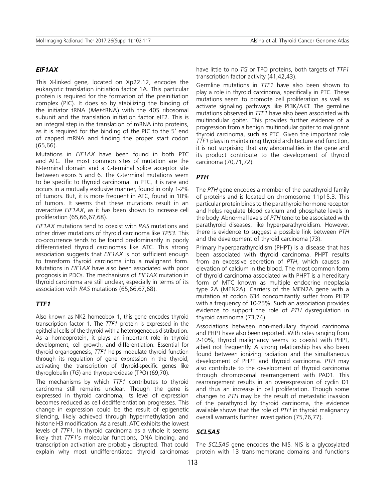## *EIF1AX*

This X-linked gene, located on Xp22.12, encodes the eukaryotic translation initiation factor 1A. This particular protein is required for the formation of the preinitiation complex (PIC). It does so by stabilizing the binding of the initiator tRNA (*Met*-tRNA) with the 40S ribosomal subunit and the translation initiation factor eIF2. This is an integral step in the translation of mRNA into proteins, as it is required for the binding of the PIC to the 5' end of capped mRNA and finding the proper start codon (65,66).

Mutations in *EIF1AX* have been found in both PTC and ATC. The most common sites of mutation are the N-terminal domain and a C-terminal splice acceptor site between exons 5 and 6. The C-terminal mutations seem to be specific to thyroid carcinoma. In PTC, it is rare and occurs in a mutually exclusive manner, found in only 1-2% of tumors. But, it is more frequent in ATC, found in 10% of tumors. It seems that these mutations result in an overactive *EIF1AX*, as it has been shown to increase cell proliferation (65,66,67,68).

*EIF1AX* mutations tend to coexist with *RAS* mutations and other driver mutations of thyroid carcinoma like *TP53*. This co-occurrence tends to be found predominantly in poorly differentiated thyroid carcinomas like ATC. This strong association suggests that *EIF1AX* is not sufficient enough to transform thyroid carcinoma into a malignant form. Mutations in *EIF1AX* have also been associated with poor prognosis in PDCs. The mechanisms of *EIF1AX* mutation in thyroid carcinoma are still unclear, especially in terms of its association with *RAS* mutations (65,66,67,68).

#### *TTF1*

Also known as NK2 homeobox 1, this gene encodes thyroid transcription factor 1. The *TTF1* protein is expressed in the epithelial cells of the thyroid with a heterogeneous distribution. As a homeoprotein, it plays an important role in thyroid development, cell growth, and differentiation. Essential for thyroid organogenesis, *TTF1* helps modulate thyroid function through its regulation of gene expression in the thyroid, activating the transcription of thyroid-specific genes like thyroglobulin (*TG*) and thyroperoxidase (TPO) (69,70).

The mechanisms by which *TTF1* contributes to thyroid carcinoma still remains unclear. Though the gene is expressed in thyroid carcinoma, its level of expression becomes reduced as cell dedifferentiation progresses. This change in expression could be the result of epigenetic silencing, likely achieved through hypermethylation and histone H3 modification. As a result, ATC exhibits the lowest levels of *TTF1*. In thyroid carcinoma as a whole it seems likely that *TTF1*'s molecular functions, DNA binding, and transcription activation are probably disrupted. That could explain why most undifferentiated thyroid carcinomas have little to no *TG* or TPO proteins, both targets of *TTF1* transcription factor activity (41,42,43).

Germline mutations in *TTF1* have also been shown to play a role in thyroid carcinoma, specifically in PTC. These mutations seem to promote cell proliferation as well as activate signaling pathways like PI3K/AKT. The germline mutations observed in *TTF1* have also been associated with multinodular goiter. This provides further evidence of a progression from a benign multinodular goiter to malignant thyroid carcinoma, such as PTC. Given the important role *TTF1* plays in maintaining thyroid architecture and function, it is not surprising that any abnormalities in the gene and its product contribute to the development of thyroid carcinoma (70,71,72).

## *PTH*

The *PTH* gene encodes a member of the parathyroid family of proteins and is located on chromosome 11p15.3. This particular protein binds to the parathyroid hormone receptor and helps regulate blood calcium and phosphate levels in the body. Abnormal levels of *PTH* tend to be associated with parathyroid diseases, like hyperparathyroidism. However, there is evidence to suggest a possible link between *PTH* and the development of thyroid carcinoma (73).

Primary hyperparathyroidism (PHPT) is a disease that has been associated with thyroid carcinoma. PHPT results from an excessive secretion of *PTH*, which causes an elevation of calcium in the blood. The most common form of thyroid carcinoma associated with PHPT is a hereditary form of MTC known as multiple endocrine neoplasia type 2A (MEN2A). Carriers of the MEN2A gene with a mutation at codon 634 concomitantly suffer from PHTP with a frequency of 10-25%. Such an association provides evidence to support the role of *PTH* dysregulation in thyroid carcinoma (73,74).

Associations between non-medullary thyroid carcinoma and PHPT have also been reported. With rates ranging from 2-10%, thyroid malignancy seems to coexist with PHPT, albeit not frequently. A strong relationship has also been found between ionizing radiation and the simultaneous development of PHPT and thyroid carcinoma. *PTH* may also contribute to the development of thyroid carcinoma through chromosomal rearrangement with PAD1. This rearrangement results in an overexpression of cyclin D1 and thus an increase in cell proliferation. Though some changes to *PTH* may be the result of metastatic invasion of the parathyroid by thyroid carcinoma, the evidence available shows that the role of *PTH* in thyroid malignancy overall warrants further investigation (75,76,77).

# *SCL5A5*

The *SCL5A5* gene encodes the NIS. NIS is a glycosylated protein with 13 trans-membrane domains and functions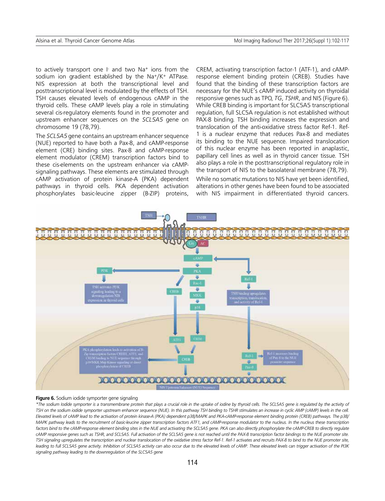to actively transport one I and two Na<sup>+</sup> ions from the sodium ion gradient established by the Na+/K+ ATPase. NIS expression at both the transcriptional level and posttranscriptional level is modulated by the effects of TSH. TSH causes elevated levels of endogenous cAMP in the thyroid cells. These cAMP levels play a role in stimulating several cis-regulatory elements found in the promoter and upstream enhancer sequences on the *SCL5A5* gene on chromosome 19 (78,79).

The *SCL5A5* gene contains an upstream enhancer sequence (NUE) reported to have both a Pax-8, and cAMP-response element (CRE) binding sites. Pax-8 and cAMP-response element modulator (CREM) transcription factors bind to these cis-elements on the upstream enhancer via cAMPsignaling pathways. These elements are stimulated through cAMP activation of protein kinase-A (PKA) dependent pathways in thyroid cells. PKA dependent activation phosphorylates basic-leucine zipper (B-ZIP) proteins, CREM, activating transcription factor-1 (ATF-1), and cAMPresponse element binding protein (CREB). Studies have found that the binding of these transcription factors are necessary for the NUE's cAMP induced activity on thyroidal responsive genes such as TPO, *TG*, *TSHR*, and NIS (Figure 6). While CREB binding is important for SLC5A5 transcriptional regulation, full SLC5A regulation is not established without PAX-8 binding. TSH binding increases the expression and translocation of the anti-oxidative stress factor Ref-1. Ref-1 is a nuclear enzyme that reduces Pax-8 and mediates its binding to the NUE sequence. Impaired translocation of this nuclear enzyme has been reported in anaplastic, papillary cell lines as well as in thyroid cancer tissue. TSH also plays a role in the posttranscriptional regulatory role in the transport of NIS to the basolateral membrane (78,79).

While no somatic mutations to NIS have yet been identified, alterations in other genes have been found to be associated with NIS impairment in differentiated thyroid cancers.



#### **Figure 6.** Sodium iodide symporter gene signaling

*\*The sodium Iodide symporter is a transmembrane protein that plays a crucial role in the uptake of iodine by thyroid cells. The SCL5A5 gene is regulated by the activity of TSH on the sodium iodide symporter upstream enhancer sequence (NUE). In this pathway TSH binding to TSHR stimulates an increase in cyclic AMP (cAMP) levels in the cell. Elevated levels of cAMP lead to the activation of protein kinase-A (PKA) dependent p38/MAPK and PKA-cAMP-response element binding protein (CREB) pathways. The p38/* MAPK pathway leads to the recruitment of basic-leucine zipper transcription factors ATF1, and cAMP-response modulator to the nucleus. In the nucleus these transcription factors bind to the cAMP-response element binding sites in the NUE and activating the SCL5A5 gene. PKA can also directly phosphorylate the cAMP-CREB to directly regulate *cAMP responsive genes such as TSHR, and SCL5A5. Full activation of the SCL5A5 gene is not reached until the PAX-8 transcription factor bindings to the NUE promoter site. TSH signaling upregulates the transcription and nuclear translocation of the oxidative stress factor Ref-1. Ref-1 activates and recruits PAX-8 to bind to the NUE promoter site, leading to full SCL5A5 gene activity. Inhibition of SCL5A5 activity can also occur due to the elevated levels of cAMP. These elevated levels can trigger activation of the PI3K signaling pathway leading to the downregulation of the SLC5A5 gene*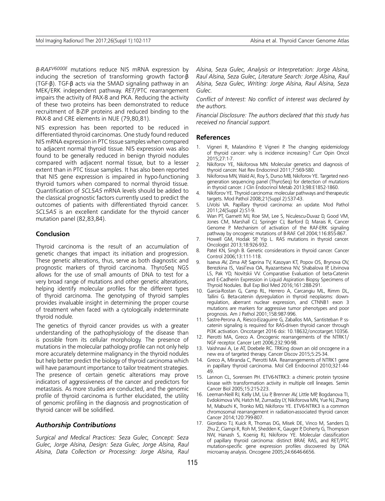*B-RAFV6000E* mutations reduce NIS mRNA expression by inducing the secretion of transforming growth factor-β (TGF-β). TGF-β acts via the SMAD signaling pathway in an MEK/ERK independent pathway. *RET*/PTC rearrangement impairs the activity of PAX-8 and PKA. Reducing the activity of these two proteins has been demonstrated to reduce recruitment of B-ZIP proteins and reduced binding to the PAX-8 and CRE elements in NUE (79,80,81).

NIS expression has been reported to be reduced in differentiated thyroid carcinomas. One study found reduced NIS mRNA expression in PTC tissue samples when compared to adjacent normal thyroid tissue. NIS expression was also found to be generally reduced in benign thyroid nodules compared with adjacent normal tissue, but to a lesser extent than in PTC tissue samples. It has also been reported that NIS gene expression is impaired in hypo-functioning thyroid tumors when compared to normal thyroid tissue. Quantification of *SCL5A5* mRNA levels should be added to the classical prognostic factors currently used to predict the outcomes of patients with differentiated thyroid cancer. *SCL5A5* is an excellent candidate for the thyroid cancer mutation panel (82,83,84).

## **Conclusion**

Thyroid carcinoma is the result of an accumulation of genetic changes that impact its initiation and progression. These genetic alterations, thus, serve as both diagnostic and prognostic markers of thyroid carcinoma. ThyroSeq NGS allows for the use of small amounts of DNA to test for a very broad range of mutations and other genetic alterations, helping identify molecular profiles for the different types of thyroid carcinoma. The genotyping of thyroid samples provides invaluable insight in determining the proper course of treatment when faced with a cytologically indeterminate thyroid nodule.

The genetics of thyroid cancer provides us with a greater understanding of the pathophysiology of the disease than is possible from its cellular morphology. The presence of mutations in the molecular pathology profile can not only help more accurately determine malignancy in the thyroid nodules but help better predict the biology of thyroid carcinoma which will have paramount importance to tailor treatment strategies. The presence of certain genetic alterations may prove indicators of aggressiveness of the cancer and predictors for metastasis. As more studies are conducted, and the genomic profile of thyroid carcinoma is further elucidated, the utility of genomic profiling in the diagnosis and prognostication of thyroid cancer will be solidified.

## *Authorship Contributions*

*Surgical and Medical Practices: Seza Gulec, Concept: Seza Gulec, Jorge Alsina, Design: Seza Gulec, Jorge Alsina, Raul Alsina, Data Collection or Processing: Jorge Alsina, Raul*  *Alsina, Seza Gulec, Analysis or Interpretation: Jorge Alsina, Raul Alsina, Seza Gulec, Literature Search: Jorge Alsina, Raul Alsina, Seza Gulec, Writing: Jorge Alsina, Raul Alsina, Seza Gulec.*

*Conflict of Interest: No conflict of interest was declared by the authors.*

*Financial Disclosure: The authors declared that this study has received no financial support.*

#### **References**

- 1. Vigneri R, Malandrino P, Vigneri P. The changing epidemiology of thyroid cancer: why is incidence increasing? Curr Opin Oncol 2015;27:1-7.
- 2. Nikiforov YE, Nikiforova MN. Molecular genetics and diagnosis of thyroid cancer. Nat Rev Endocrinol 2011;7:569-580.
- 3. Nikiforova MN, Wald AI, Roy S, Durso MB, Nikiforov YE. Targeted nextgeneration sequencing panel (ThyroSeq) for detection of mutations in thyroid cancer. J Clin Endocrinol Metab 2013;98:E1852-1860.
- 4. Nikiforov YE. Thyroid carcinoma: molecular pathways and therapeutic targets. Mod Pathol 2008;21(Suppl 2):S37-43.
- 5. LiVolsi VA. Papillary thyroid carcinoma: an update. Mod Pathol 2011;24(Suppl 2):S1-9.
- 6. Wan PT, Garnett MJ, Roe SM, Lee S, Niculescu-Duvaz D, Good VM, Jones CM, Marshall CJ, Springer CJ, Barford D, Marais R, Cancer Genome P. Mechanism of activation of the RAF-ERK signaling pathway by oncogenic mutations of B-RAF. Cell 2004;116:855-867.
- 7. Howell GM, Hodak SP, Yip L. RAS mutations in thyroid cancer. Oncologist 2013;18:926-932.
- 8. Patel KN, Singh B. Genetic considerations in thyroid cancer. Cancer Control 2006;13:111-118.
- 9. Isaeva AV, Zima AP, Saprina TV, Kasoyan KT, Popov OS, Brynova OV, Berezkina IS, Vasil'eva OA, Ryazantseva NV, Shabalova IP, Litvinova LS, Pak YD, Novitskii VV. Comparative Evaluation of beta-Catenin and E-Cadherin Expression in Liquid Aspiration Biopsy Specimens of Thyroid Nodules. Bull Exp Biol Med 2016;161:288-291.
- 10. Garcia-Rostan G, Camp RL, Herrero A, Carcangiu ML, Rimm DL, Tallini G. Beta-catenin dysregulation in thyroid neoplasms: downregulation, aberrant nuclear expression, and CTNNB1 exon 3 mutations are markers for aggressive tumor phenotypes and poor prognosis. Am J Pathol 2001;158:987-996.
- 11. Sastre-Perona A, Riesco-Eizaguirre G, Zaballos MA, Santisteban P. sscatenin signaling is required for RAS-driven thyroid cancer through PI3K activation. Oncotarget 2016 doi: 10.18632/oncotarget.10356.
- 12. Pierotti MA, Greco A. Oncogenic rearrangements of the NTRK1/ NGF receptor. Cancer Lett 2006;232:90-98.
- 13. Vaishnavi A, Le AT, Doebele RC. TRKing down an old oncogene in a new era of targeted therapy. Cancer Discov 2015;5:25-34.
- 14. Greco A, Miranda C, Pierotti MA. Rearrangements of NTRK1 gene in papillary thyroid carcinoma. Mol Cell Endocrinol 2010;321:44- 49.
- 15. Lannon CL, Sorensen PH. ETV6-NTRK3: a chimeric protein tyrosine kinase with transformation activity in multiple cell lineages. Semin Cancer Biol 2005;15:215-223.
- 16. Leeman-Neill RJ, Kelly LM, Liu P, Brenner AV, Little MP, Bogdanova TI, Evdokimova VN, Hatch M, Zurnadzy LY, Nikiforova MN, Yue NJ, Zhang M, Mabuchi K, Tronko MD, Nikiforov YE. ETV6-NTRK3 is a common chromosomal rearrangement in radiation-associated thyroid cancer. Cancer 2014;120:799-807.
- 17. Giordano TJ, Kuick R, Thomas DG, Misek DE, Vinco M, Sanders D, Zhu Z, Ciampi R, Roh M, Shedden K, Gauger P, Doherty G, Thompson NW, Hanash S, Koenig RJ, Nikiforov YE. Molecular classification of papillary thyroid carcinoma: distinct BRAF, RAS, and RET/PTC mutation-specific gene expression profiles discovered by DNA microarray analysis. Oncogene 2005;24:6646-6656.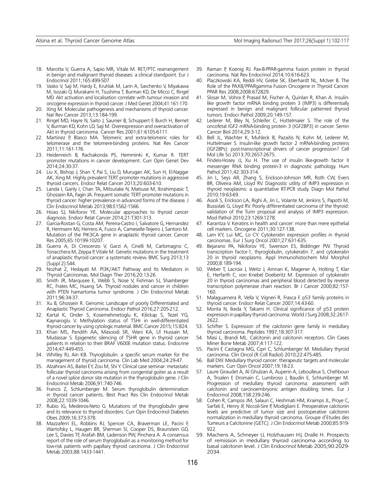- 18. Marotta V, Guerra A, Sapio MR, Vitale M. RET/PTC rearrangement in benign and malignant thyroid diseases: a clinical standpoint. Eur J Endocrinol 2011;165:499-507.
- 19. Vasko V, Saji M, Hardy E, Kruhlak M, Larin A, Savchenko V, Miyakawa M, Isozaki O, Murakami H, Tsushima T, Burman KD, De Micco C, Ringel MD. Akt activation and localisation correlate with tumour invasion and oncogene expression in thyroid cancer. J Med Genet 2004;41:161-170.
- 20. Xing M. Molecular pathogenesis and mechanisms of thyroid cancer. Nat Rev Cancer 2013;13:184-199.
- 21. Ringel MD, Hayre N, Saito J, Saunier B, Schuppert F, Burch H, Bernet V, Burman KD, Kohn LD, Saji M. Overexpression and overactivation of Akt in thyroid carcinoma. Cancer Res 2001;61:6105-6111.
- 22. Martinez P, Blasco MA. Telomeric and extra-telomeric roles for telomerase and the telomere-binding proteins. Nat Rev Cancer 2011;11:161-176.
- 23. Heidenreich B, Rachakonda PS, Hemminki K, Kumar R. TERT promoter mutations in cancer development. Curr Opin Genet Dev 2014;24:30-37.
- 24. Liu X, Bishop J, Shan Y, Pai S, Liu D, Murugan AK, Sun H, El-Naggar AK, Xing M. Highly prevalent TERT promoter mutations in aggressive thyroid cancers. Endocr Relat Cancer 2013;20:603-610.
- 25. Landa I, Ganly I, Chan TA, Mitsutake N, Matsuse M, Ibrahimpasic T, Ghossein RA, Fagin JA. Frequent somatic TERT promoter mutations in thyroid cancer: higher prevalence in advanced forms of the disease. J Clin Endocrinol Metab 2013;98:E1562-1566.
- 26. Hsiao SJ, Nikiforov YE. Molecular approaches to thyroid cancer diagnosis. Endocr Relat Cancer 2014;21:T301-313.
- 27. Garcia-Rostan G, Costa AM, Pereira-Castro I, Salvatore G, Hernandez R, Hermsem MJ, Herrero A, Fusco A, Cameselle-Teijeiro J, Santoro M. Mutation of the PIK3CA gene in anaplastic thyroid cancer. Cancer Res 2005;65:10199-10207.
- 28. Guerra A, Di Crescenzo V, Garzi A, Cinelli M, Carlomagno C, Tonacchera M, Zeppa P, Vitale M. Genetic mutations in the treatment of anaplastic thyroid cancer: a systematic review. BMC Surg 2013;13 (Suppl 2):S44.
- 29. Nozhat Z, Hedayati M. PI3K/AKT Pathway and Its Mediators in Thyroid Carcinomas. Mol Diagn Ther 2016;20:13-26.
- 30. Smith JR, Marqusee E, Webb S, Nose V, Fishman SJ, Shamberger RC, Frates MC, Huang SA. Thyroid nodules and cancer in children with PTEN hamartoma tumor syndrome. J Clin Endocrinol Metab 2011;96:34-37.
- 31. Xu B, Ghossein R. Genomic Landscape of poorly Differentiated and Anaplastic Thyroid Carcinoma. Endocr Pathol 2016;27:205-212.
- 32. Kartal K, Onder S, Kosemehmetoglu K, Kilickap S, Tezel YG, Kaynaroglu V. Methylation status of TSHr in well-differentiated thyroid cancer by using cytologic material. BMC Cancer 2015;15:824.
- 33. Khan MS, Pandith AA, Masoodi SR, Wani KA, Ul Hussain M, Mudassar S. Epigenetic silencing of TSHR gene in thyroid cancer patients in relation to their BRAF V600E mutation status. Endocrine 2014;47:449-455.
- 34. Whitley RJ, Ain KB. Thyroglobulin: a specific serum marker for the management of thyroid carcinoma. Clin Lab Med 2004;24:29-47.
- 35. Alzahrani AS, Baitei EY, Zou M, Shi Y. Clinical case seminar: metastatic follicular thyroid carcinoma arising from congenital goiter as a result of a novel splice donor site mutation in the thyroglobulin gene. J Clin Endocrinol Metab 2006;91:740-746.
- 36. Francis Z, Schlumberger M. Serum thyroglobulin determination in thyroid cancer patients. Best Pract Res Clin Endocrinol Metab 2008;22:1039-1046.
- 37. Rubio IG, Medeiros-Neto G. Mutations of the thyroglobulin gene and its relevance to thyroid disorders. Curr Opin Endocrinol Diabetes Obes 2009;16:373-378.
- 38. Mazzaferri EL, Robbins RJ, Spencer CA, Braverman LE, Pacini F, Wartofsky L, Haugen BR, Sherman SI, Cooper DS, Braunstein GD, Lee S, Davies TF, Arafah BM, Ladenson PW, Pinchera A. A consensus report of the role of serum thyroglobulin as a monitoring method for low-risk patients with papillary thyroid carcinoma. J Clin Endocrinol Metab 2003;88:1433-1441.
- 39. Raman P, Koenig RJ. Pax-8-PPAR-gamma fusion protein in thyroid carcinoma. Nat Rev Endocrinol 2014;10:616-623.
- 40. Placzkowski KA, Reddi HV, Grebe SK, Eberhardt NL, McIver B. The Role of the PAX8/PPARgamma Fusion Oncogene in Thyroid Cancer. PPAR Res 2008;2008:672829.
- 41. Slosar M, Vohra P, Prasad M, Fischer A, Quinlan R, Khan A. Insulinlike growth factor mRNA binding protein 3 (IMP3) is differentially expressed in benign and malignant follicular patterned thyroid tumors. Endocr Pathol 2009;20:149-157.
- 42. Lederer M, Bley N, Schleifer C, Huttelmaier S. The role of the oncofetal IGF2 mRNA-binding protein 3 (IGF2BP3) in cancer. Semin Cancer Biol 2014;29:3-12.
- 43. Bell JL, Wachter K, Muhleck B, Pazaitis N, Kohn M, Lederer M, Huttelmaier S. Insulin-like growth factor 2 mRNA-binding proteins (IGF2BPs): post-transcriptional drivers of cancer progression? Cell Mol Life Sci 2013;70:2657-2675.
- 44. Findeis-Hosey JJ, Xu H. The use of insulin like-growth factor II messenger RNA binding protein-3 in diagnostic pathology. Hum Pathol 2011;42:303-314.
- 45. Jin L, Seys AR, Zhang S, Erickson-Johnson MR, Roth CW, Evers BR, Oliveira AM, Lloyd RV. Diagnostic utility of IMP3 expression in thyroid neoplasms: a quantitative RT-PCR study. Diagn Mol Pathol 2010;19:63-69.
- 46. Asioli S, Erickson LA, Righi A, Jin L, Volante M, Jenkins S, Papotti M, Bussolati G, Lloyd RV. Poorly differentiated carcinoma of the thyroid: validation of the Turin proposal and analysis of IMP3 expression. Mod Pathol 2010;23:1269-1278.
- 47. Karantza V. Keratins in health and cancer: more than mere epithelial cell markers. Oncogene 2011;30:127-138.
- 48. Lam KY, Lui MC, Lo CY. Cytokeratin expression profiles in thyroid carcinomas. Eur J Surg Oncol 2001;27:631-635.
- 49. Bejarano PA, Nikiforov YE, Swenson ES, Biddinger PW. Thyroid transcription factor-1, thyroglobulin, cytokeratin 7, and cytokeratin 20 in thyroid neoplasms. Appl Immunohistochem Mol Morphol 2000;8:189-194.
- 50. Weber T, Lacroix J, Weitz J, Amnan K, Magener A, Holting T, Klar E, Herfarth C, von Knebel Doeberitz M. Expression of cytokeratin 20 in thyroid carcinomas and peripheral blood detected by reverse transcription polymerase chain reaction. Br J Cancer 2000;82:157- 160.
- 51. Malaguarnera R, Vella V, Vigneri R, Frasca F. p53 family proteins in thyroid cancer. Endocr Relat Cancer 2007;14:43-60.
- 52. Morita N, Ikeda Y, Takami H. Clinical significance of p53 protein expression in papillary thyroid carcinoma. World J Surg 2008;32:2617- 2622.
- 53. Schifter S. Expression of the calcitonin gene family in medullary thyroid carcinoma. Peptides 1997;18:307-317.
- 54. Masi L, Brandi ML. Calcitonin and calcitonin receptors. Clin Cases Miner Bone Metab 2007;4:117-122.
- 55. Pacini F, Castagna MG, Cipri C, Schlumberger M. Medullary thyroid carcinoma. Clin Oncol (R Coll Radiol) 2010;22:475-485.
- 56. Ball DW. Medullary thyroid cancer: therapeutic targets and molecular markers. Curr Opin Oncol 2007;19:18-23.
- 57. Laure Giraudet A, Al Ghulzan A, Auperin A, Leboulleux S, Chehboun A, Troalen F, Dromain C, Lumbroso J, Baudin E, Schlumberger M. Progression of medullary thyroid carcinoma: assessment with calcitonin and carcinoembryonic antigen doubling times. Eur J Endocrinol 2008;158:239-246.
- 58. Cohen R, Campos JM, Salaun C, Heshmati HM, Kraimps JL, Proye C, Sarfati E, Henry JF, Niccoli-Sire P, Modigliani E. Preoperative calcitonin levels are predictive of tumor size and postoperative calcitonin normalization in medullary thyroid carcinoma. Groupe d'Etudes des Tumeurs a Calcitonine (GETC). J Clin Endocrinol Metab 2000;85:919- 922.
- 59. Machens A, Schneyer U, Holzhausen HJ, Dralle H. Prospects of remission in medullary thyroid carcinoma according to basal calcitonin level. J Clin Endocrinol Metab 2005;90:2029- 2034.